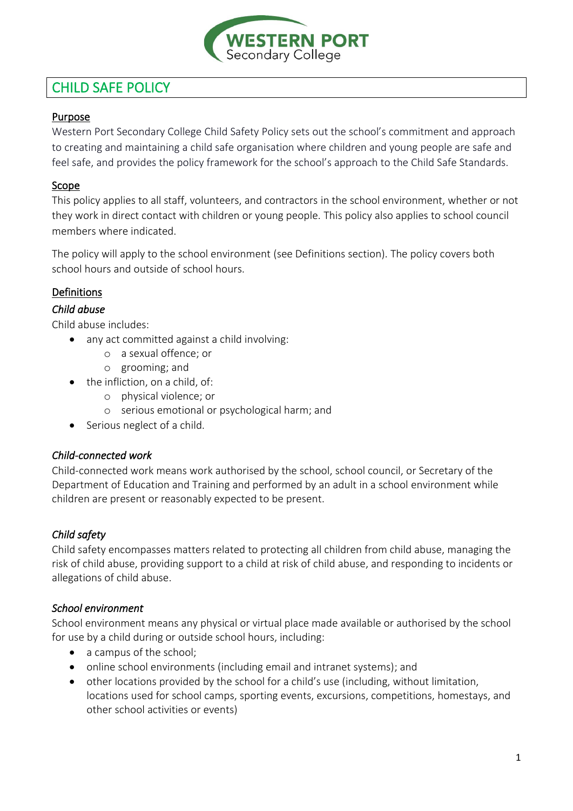

# CHILD SAFE POLICY

# Purpose

Western Port Secondary College Child Safety Policy sets out the school's commitment and approach to creating and maintaining a child safe organisation where children and young people are safe and feel safe, and provides the policy framework for the school's approach to the Child Safe Standards.

# Scope

This policy applies to all staff, volunteers, and contractors in the school environment, whether or not they work in direct contact with children or young people. This policy also applies to school council members where indicated.

The policy will apply to the school environment (see Definitions section). The policy covers both school hours and outside of school hours.

# Definitions

# *Child abuse*

Child abuse includes:

- any act committed against a child involving:
	- o a sexual offence; or
	- o grooming; and
- the infliction, on a child, of:
	- o physical violence; or
	- o serious emotional or psychological harm; and
- Serious neglect of a child.

# *Child-connected work*

Child-connected work means work authorised by the school, school council, or Secretary of the Department of Education and Training and performed by an adult in a school environment while children are present or reasonably expected to be present.

# *Child safety*

Child safety encompasses matters related to protecting all children from child abuse, managing the risk of child abuse, providing support to a child at risk of child abuse, and responding to incidents or allegations of child abuse.

# *School environment*

School environment means any physical or virtual place made available or authorised by the school for use by a child during or outside school hours, including:

- a campus of the school;
- online school environments (including email and intranet systems); and
- other locations provided by the school for a child's use (including, without limitation, locations used for school camps, sporting events, excursions, competitions, homestays, and other school activities or events)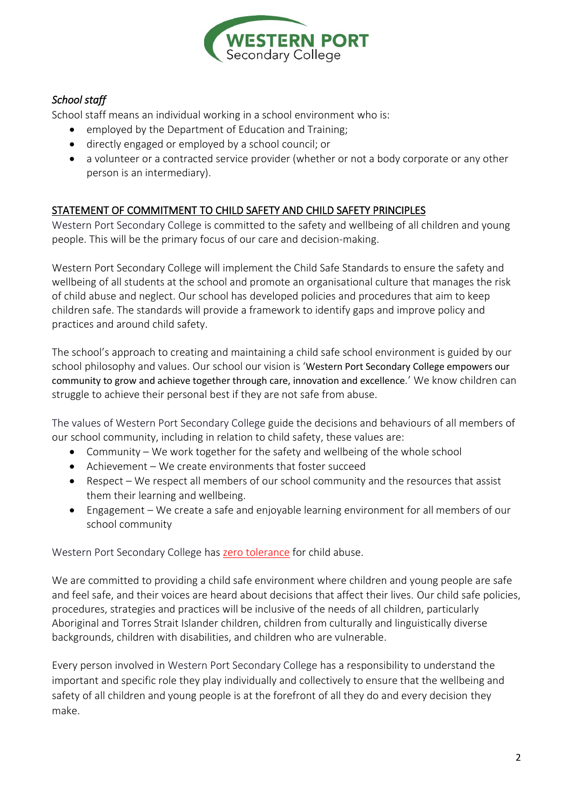

# *School staff*

School staff means an individual working in a school environment who is:

- employed by the Department of Education and Training;
- directly engaged or employed by a school council; or
- a volunteer or a contracted service provider (whether or not a body corporate or any other person is an intermediary).

# STATEMENT OF COMMITMENT TO CHILD SAFETY AND CHILD SAFETY PRINCIPLES

Western Port Secondary College is committed to the safety and wellbeing of all children and young people. This will be the primary focus of our care and decision-making.

Western Port Secondary College will implement the Child Safe Standards to ensure the safety and wellbeing of all students at the school and promote an organisational culture that manages the risk of child abuse and neglect. Our school has developed policies and procedures that aim to keep children safe. The standards will provide a framework to identify gaps and improve policy and practices and around child safety.

The school's approach to creating and maintaining a child safe school environment is guided by our school philosophy and values. Our school our vision is 'Western Port Secondary College empowers our community to grow and achieve together through care, innovation and excellence*.*' We know children can struggle to achieve their personal best if they are not safe from abuse.

The values of Western Port Secondary College guide the decisions and behaviours of all members of our school community, including in relation to child safety, these values are:

- Community We work together for the safety and wellbeing of the whole school
- Achievement We create environments that foster succeed
- Respect We respect all members of our school community and the resources that assist them their learning and wellbeing.
- Engagement We create a safe and enjoyable learning environment for all members of our school community

Western Port Secondary College has zero tolerance for child abuse.

We are committed to providing a child safe environment where children and young people are safe and feel safe, and their voices are heard about decisions that affect their lives. Our child safe policies, procedures, strategies and practices will be inclusive of the needs of all children, particularly Aboriginal and Torres Strait Islander children, children from culturally and linguistically diverse backgrounds, children with disabilities, and children who are vulnerable.

Every person involved in Western Port Secondary College has a responsibility to understand the important and specific role they play individually and collectively to ensure that the wellbeing and safety of all children and young people is at the forefront of all they do and every decision they make.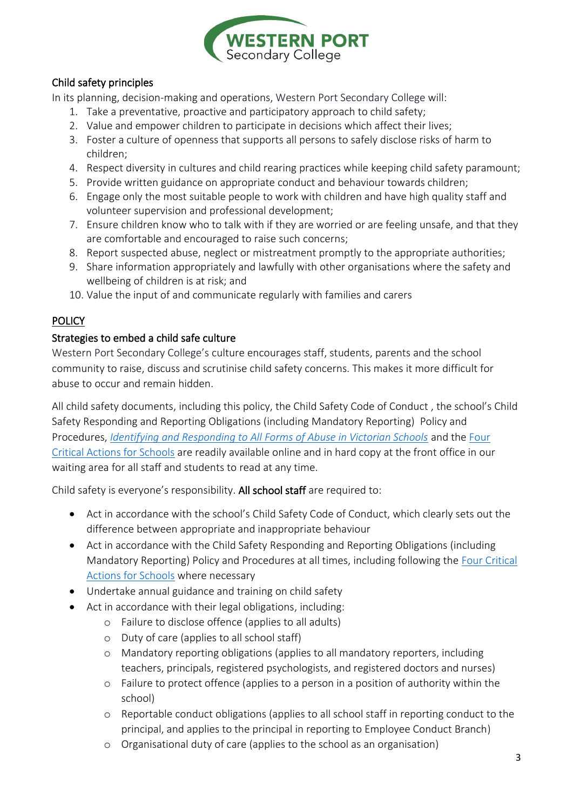

# Child safety principles

In its planning, decision-making and operations, Western Port Secondary College will:

- 1. Take a preventative, proactive and participatory approach to child safety;
- 2. Value and empower children to participate in decisions which affect their lives;
- 3. Foster a culture of openness that supports all persons to safely disclose risks of harm to children;
- 4. Respect diversity in cultures and child rearing practices while keeping child safety paramount;
- 5. Provide written guidance on appropriate conduct and behaviour towards children;
- 6. Engage only the most suitable people to work with children and have high quality staff and volunteer supervision and professional development;
- 7. Ensure children know who to talk with if they are worried or are feeling unsafe, and that they are comfortable and encouraged to raise such concerns;
- 8. Report suspected abuse, neglect or mistreatment promptly to the appropriate authorities;
- 9. Share information appropriately and lawfully with other organisations where the safety and wellbeing of children is at risk; and
- 10. Value the input of and communicate regularly with families and carers

# **POLICY**

# Strategies to embed a child safe culture

Western Port Secondary College's culture encourages staff, students, parents and the school community to raise, discuss and scrutinise child safety concerns. This makes it more difficult for abuse to occur and remain hidden.

All child safety documents, including this policy, the Child Safety Code of Conduct , the school's Child Safety Responding and Reporting Obligations (including Mandatory Reporting) Policy and Procedures, *[Identifying and Responding to All Forms of Abuse in Victorian Schools](https://www.education.vic.gov.au/Documents/about/programs/health/protect/ChildSafeStandard5_SchoolsGuide.pdf)* and the [Four](https://www.education.vic.gov.au/Documents/about/programs/health/protect/FourCriticalActions_ChildAbuse.pdf)  [Critical Actions for Schools](https://www.education.vic.gov.au/Documents/about/programs/health/protect/FourCriticalActions_ChildAbuse.pdf) are readily available online and in hard copy at the front office in our waiting area for all staff and students to read at any time.

Child safety is everyone's responsibility. All school staff are required to:

- Act in accordance with the school's Child Safety Code of Conduct, which clearly sets out the difference between appropriate and inappropriate behaviour
- Act in accordance with the Child Safety Responding and Reporting Obligations (including Mandatory Reporting) Policy and Procedures at all times, including following the [Four Critical](https://www.education.vic.gov.au/Documents/about/programs/health/protect/FourCriticalActions_ChildAbuse.pdf)  [Actions for Schools](https://www.education.vic.gov.au/Documents/about/programs/health/protect/FourCriticalActions_ChildAbuse.pdf) where necessary
- Undertake annual guidance and training on child safety
- Act in accordance with their legal obligations, including:
	- o Failure to disclose offence (applies to all adults)
	- o Duty of care (applies to all school staff)
	- o Mandatory reporting obligations (applies to all mandatory reporters, including teachers, principals, registered psychologists, and registered doctors and nurses)
	- o Failure to protect offence (applies to a person in a position of authority within the school)
	- o Reportable conduct obligations (applies to all school staff in reporting conduct to the principal, and applies to the principal in reporting to Employee Conduct Branch)
	- o Organisational duty of care (applies to the school as an organisation)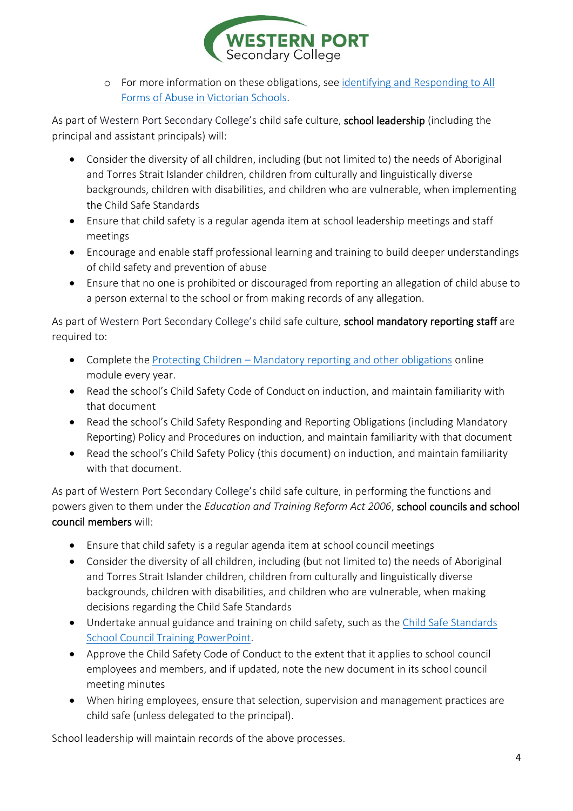

o For more information on these obligations, see identifying [and Responding to All](https://www.education.vic.gov.au/Documents/about/programs/health/protect/ChildSafeStandard5_SchoolsGuide.pdf)  [Forms of Abuse in Victorian Schools.](https://www.education.vic.gov.au/Documents/about/programs/health/protect/ChildSafeStandard5_SchoolsGuide.pdf)

As part of Western Port Secondary College's child safe culture, school leadership (including the principal and assistant principals) will:

- Consider the diversity of all children, including (but not limited to) the needs of Aboriginal and Torres Strait Islander children, children from culturally and linguistically diverse backgrounds, children with disabilities, and children who are vulnerable, when implementing the Child Safe Standards
- Ensure that child safety is a regular agenda item at school leadership meetings and staff meetings
- Encourage and enable staff professional learning and training to build deeper understandings of child safety and prevention of abuse
- Ensure that no one is prohibited or discouraged from reporting an allegation of child abuse to a person external to the school or from making records of any allegation.

As part of Western Port Secondary College's child safe culture, school mandatory reporting staff are required to:

- Complete the Protecting Children [Mandatory reporting and other obligations](http://elearn.com.au/det/protectingchildren/) online module every year.
- Read the school's Child Safety Code of Conduct on induction, and maintain familiarity with that document
- Read the school's Child Safety Responding and Reporting Obligations (including Mandatory Reporting) Policy and Procedures on induction, and maintain familiarity with that document
- Read the school's Child Safety Policy (this document) on induction, and maintain familiarity with that document.

As part of Western Port Secondary College's child safe culture, in performing the functions and powers given to them under the *Education and Training Reform Act 2006*, school councils and school council members will:

- Ensure that child safety is a regular agenda item at school council meetings
- Consider the diversity of all children, including (but not limited to) the needs of Aboriginal and Torres Strait Islander children, children from culturally and linguistically diverse backgrounds, children with disabilities, and children who are vulnerable, when making decisions regarding the Child Safe Standards
- Undertake annual guidance and training on child safety, such as the Child Safe Standards [School Council Training](https://www.education.vic.gov.au/Documents/about/programs/health/protect/school-council-training.pptx) PowerPoint.
- Approve the Child Safety Code of Conduct to the extent that it applies to school council employees and members, and if updated, note the new document in its school council meeting minutes
- When hiring employees, ensure that selection, supervision and management practices are child safe (unless delegated to the principal).

School leadership will maintain records of the above processes.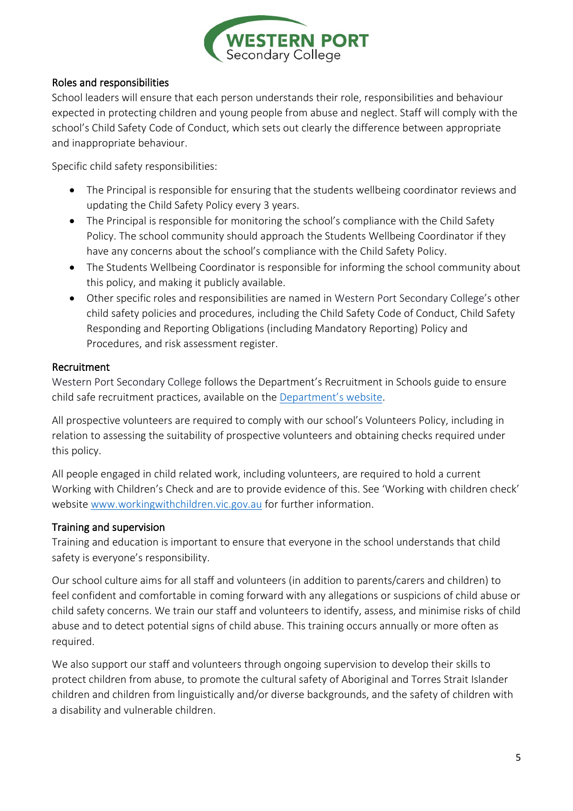

#### Roles and responsibilities

School leaders will ensure that each person understands their role, responsibilities and behaviour expected in protecting children and young people from abuse and neglect. Staff will comply with the school's Child Safety Code of Conduct, which sets out clearly the difference between appropriate and inappropriate behaviour.

Specific child safety responsibilities:

- The Principal is responsible for ensuring that the students wellbeing coordinator reviews and updating the Child Safety Policy every 3 years.
- The Principal is responsible for monitoring the school's compliance with the Child Safety Policy. The school community should approach the Students Wellbeing Coordinator if they have any concerns about the school's compliance with the Child Safety Policy.
- The Students Wellbeing Coordinator is responsible for informing the school community about this policy, and making it publicly available.
- Other specific roles and responsibilities are named in Western Port Secondary College's other child safety policies and procedures, including the Child Safety Code of Conduct, Child Safety Responding and Reporting Obligations (including Mandatory Reporting) Policy and Procedures, and risk assessment register.

#### Recruitment

Western Port Secondary College follows the Department's Recruitment in Schools guide to ensure child safe recruitment practices, available on the [Department'](https://www.education.vic.gov.au/hrweb/careers/Pages/recruitinsch.aspx)s website.

All prospective volunteers are required to comply with our school's Volunteers Policy, including in relation to assessing the suitability of prospective volunteers and obtaining checks required under this policy.

All people engaged in child related work, including volunteers, are required to hold a current Working with Children's Check and are to provide evidence of this. See 'Working with children check' website [www.workingwithchildren.vic.gov.au](http://www.workingwithchildren.vic.gov.au/) for further information.

# Training and supervision

Training and education is important to ensure that everyone in the school understands that child safety is everyone's responsibility.

Our school culture aims for all staff and volunteers (in addition to parents/carers and children) to feel confident and comfortable in coming forward with any allegations or suspicions of child abuse or child safety concerns. We train our staff and volunteers to identify, assess, and minimise risks of child abuse and to detect potential signs of child abuse. This training occurs annually or more often as required.

We also support our staff and volunteers through ongoing supervision to develop their skills to protect children from abuse, to promote the cultural safety of Aboriginal and Torres Strait Islander children and children from linguistically and/or diverse backgrounds, and the safety of children with a disability and vulnerable children.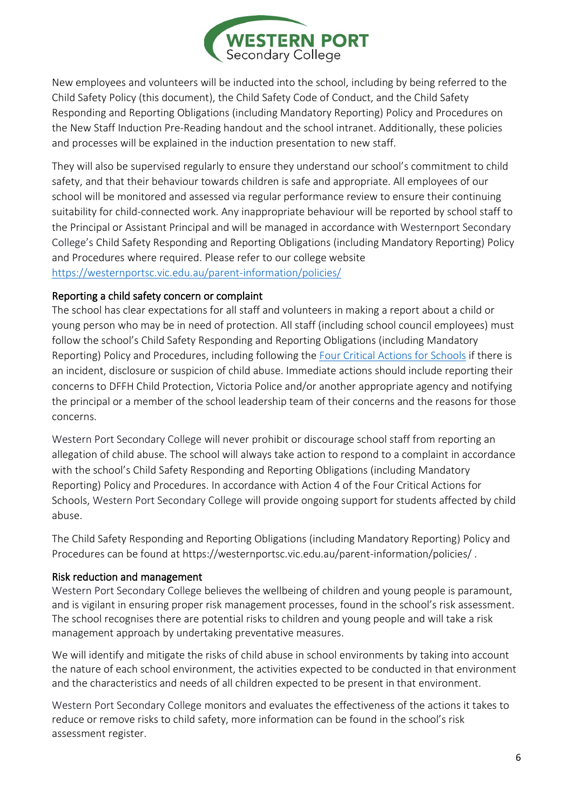

New employees and volunteers will be inducted into the school, including by being referred to the Child Safety Policy (this document), the Child Safety Code of Conduct, and the Child Safety Responding and Reporting Obligations (including Mandatory Reporting) Policy and Procedures on the New Staff Induction Pre-Reading handout and the school intranet. Additionally, these policies and processes will be explained in the induction presentation to new staff.

They will also be supervised regularly to ensure they understand our school's commitment to child safety, and that their behaviour towards children is safe and appropriate. All employees of our school will be monitored and assessed via regular performance review to ensure their continuing suitability for child-connected work. Any inappropriate behaviour will be reported by school staff to the Principal or Assistant Principal and will be managed in accordance with Westernport Secondary College's Child Safety Responding and Reporting Obligations (including Mandatory Reporting) Policy and Procedures where required. Please refer to our college website <https://westernportsc.vic.edu.au/parent-information/policies/>

#### Reporting a child safety concern or complaint

The school has clear expectations for all staff and volunteers in making a report about a child or young person who may be in need of protection. All staff (including school council employees) must follow the school's Child Safety Responding and Reporting Obligations (including Mandatory Reporting) Policy and Procedures, including following the [Four Critical Actions for Schools](https://www.education.vic.gov.au/Documents/about/programs/health/protect/FourCriticalActions_ChildAbuse.pdf) if there is an incident, disclosure or suspicion of child abuse. Immediate actions should include reporting their concerns to DFFH Child Protection, Victoria Police and/or another appropriate agency and notifying the principal or a member of the school leadership team of their concerns and the reasons for those concerns.

Western Port Secondary College will never prohibit or discourage school staff from reporting an allegation of child abuse. The school will always take action to respond to a complaint in accordance with the school's Child Safety Responding and Reporting Obligations (including Mandatory Reporting) Policy and Procedures. In accordance with Action 4 of the Four Critical Actions for Schools, Western Port Secondary College will provide ongoing support for students affected by child abuse.

The Child Safety Responding and Reporting Obligations (including Mandatory Reporting) Policy and Procedures can be found at https://westernportsc.vic.edu.au/parent-information/policies/ .

#### Risk reduction and management

Western Port Secondary College believes the wellbeing of children and young people is paramount, and is vigilant in ensuring proper risk management processes, found in the school's risk assessment. The school recognises there are potential risks to children and young people and will take a risk management approach by undertaking preventative measures.

We will identify and mitigate the risks of child abuse in school environments by taking into account the nature of each school environment, the activities expected to be conducted in that environment and the characteristics and needs of all children expected to be present in that environment.

Western Port Secondary College monitors and evaluates the effectiveness of the actions it takes to reduce or remove risks to child safety, more information can be found in the school's risk assessment register.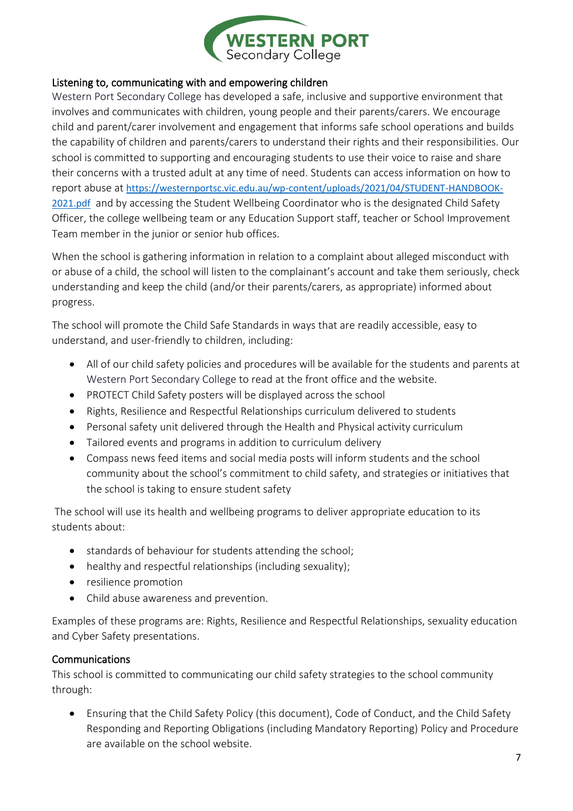

#### Listening to, communicating with and empowering children

Western Port Secondary College has developed a safe, inclusive and supportive environment that involves and communicates with children, young people and their parents/carers. We encourage child and parent/carer involvement and engagement that informs safe school operations and builds the capability of children and parents/carers to understand their rights and their responsibilities. Our school is committed to supporting and encouraging students to use their voice to raise and share their concerns with a trusted adult at any time of need. Students can access information on how to report abuse at [https://westernportsc.vic.edu.au/wp-content/uploads/2021/04/STUDENT-HANDBOOK-](https://aus01.safelinks.protection.outlook.com/?url=https%3A%2F%2Fwesternportsc.vic.edu.au%2Fwp-content%2Fuploads%2F2021%2F04%2FSTUDENT-HANDBOOK-2021.pdf&data=04%7C01%7CChristopher.Quinn%40education.vic.gov.au%7Ce6fb7f71b63b4c0d477508d92bbc0455%7Cd96cb3371a8744cfb69b3cec334a4c1f%7C0%7C0%7C637588908785808315%7CUnknown%7CTWFpbGZsb3d8eyJWIjoiMC4wLjAwMDAiLCJQIjoiV2luMzIiLCJBTiI6Ik1haWwiLCJXVCI6Mn0%3D%7C1000&sdata=M7w9vmlDCr1udr0GA7JnTENtZlD865D2A2%2BOBNaD4yc%3D&reserved=0)[2021.pdf](https://aus01.safelinks.protection.outlook.com/?url=https%3A%2F%2Fwesternportsc.vic.edu.au%2Fwp-content%2Fuploads%2F2021%2F04%2FSTUDENT-HANDBOOK-2021.pdf&data=04%7C01%7CChristopher.Quinn%40education.vic.gov.au%7Ce6fb7f71b63b4c0d477508d92bbc0455%7Cd96cb3371a8744cfb69b3cec334a4c1f%7C0%7C0%7C637588908785808315%7CUnknown%7CTWFpbGZsb3d8eyJWIjoiMC4wLjAwMDAiLCJQIjoiV2luMzIiLCJBTiI6Ik1haWwiLCJXVCI6Mn0%3D%7C1000&sdata=M7w9vmlDCr1udr0GA7JnTENtZlD865D2A2%2BOBNaD4yc%3D&reserved=0) and by accessing the Student Wellbeing Coordinator who is the designated Child Safety Officer, the college wellbeing team or any Education Support staff, teacher or School Improvement Team member in the junior or senior hub offices.

When the school is gathering information in relation to a complaint about alleged misconduct with or abuse of a child, the school will listen to the complainant's account and take them seriously, check understanding and keep the child (and/or their parents/carers, as appropriate) informed about progress.

The school will promote the Child Safe Standards in ways that are readily accessible, easy to understand, and user-friendly to children, including:

- All of our child safety policies and procedures will be available for the students and parents at Western Port Secondary College to read at the front office and the website.
- PROTECT Child Safety posters will be displayed across the school
- Rights, Resilience and Respectful Relationships curriculum delivered to students
- Personal safety unit delivered through the Health and Physical activity curriculum
- Tailored events and programs in addition to curriculum delivery
- Compass news feed items and social media posts will inform students and the school community about the school's commitment to child safety, and strategies or initiatives that the school is taking to ensure student safety

The school will use its health and wellbeing programs to deliver appropriate education to its students about:

- standards of behaviour for students attending the school;
- healthy and respectful relationships (including sexuality);
- resilience promotion
- Child abuse awareness and prevention.

Examples of these programs are: Rights, Resilience and Respectful Relationships, sexuality education and Cyber Safety presentations.

#### Communications

This school is committed to communicating our child safety strategies to the school community through:

• Ensuring that the Child Safety Policy (this document), Code of Conduct, and the Child Safety Responding and Reporting Obligations (including Mandatory Reporting) Policy and Procedure are available on the school website.